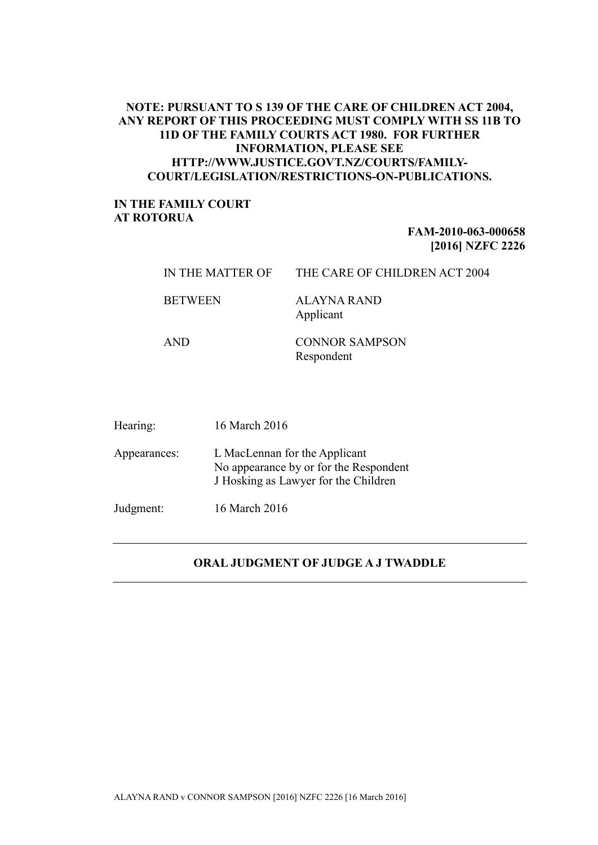## **NOTE: PURSUANT TO S 139 OF THE CARE OF CHILDREN ACT 2004, ANY REPORT OF THIS PROCEEDING MUST COMPLY WITH SS 11B TO 11D OF THE FAMILY COURTS ACT 1980. FOR FURTHER INFORMATION, PLEASE SEE HTTP://WWW.JUSTICE.GOVT.NZ/COURTS/FAMILY-COURT/LEGISLATION/RESTRICTIONS-ON-PUBLICATIONS.**

## **IN THE FAMILY COURT AT ROTORUA**

## **FAM-2010-063-000658 [2016] NZFC 2226**

| IN THE MATTER OF | THE CARE OF CHILDREN ACT 2004       |
|------------------|-------------------------------------|
| <b>BETWEEN</b>   | ALAYNA RAND<br>Applicant            |
| <b>AND</b>       | <b>CONNOR SAMPSON</b><br>Respondent |

| Hearing:     | 16 March 2016                                                                                                   |
|--------------|-----------------------------------------------------------------------------------------------------------------|
| Appearances: | L MacLennan for the Applicant<br>No appearance by or for the Respondent<br>J Hosking as Lawyer for the Children |
| Judgment:    | 16 March 2016                                                                                                   |

## **ORAL JUDGMENT OF JUDGE A J TWADDLE**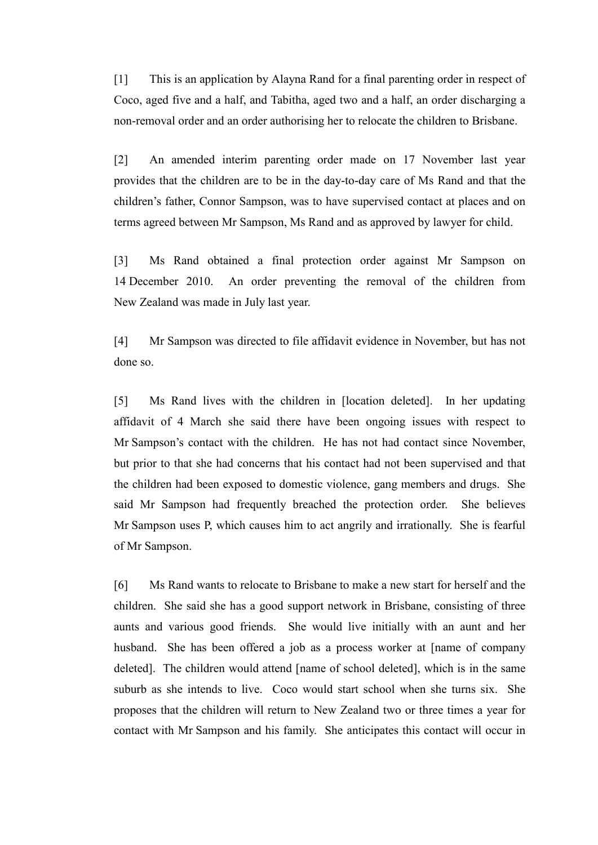[1] This is an application by Alayna Rand for a final parenting order in respect of Coco, aged five and a half, and Tabitha, aged two and a half, an order discharging a non-removal order and an order authorising her to relocate the children to Brisbane.

[2] An amended interim parenting order made on 17 November last year provides that the children are to be in the day-to-day care of Ms Rand and that the children's father, Connor Sampson, was to have supervised contact at places and on terms agreed between Mr Sampson, Ms Rand and as approved by lawyer for child.

[3] Ms Rand obtained a final protection order against Mr Sampson on 14 December 2010. An order preventing the removal of the children from New Zealand was made in July last year.

[4] Mr Sampson was directed to file affidavit evidence in November, but has not done so.

[5] Ms Rand lives with the children in [location deleted]. In her updating affidavit of 4 March she said there have been ongoing issues with respect to Mr Sampson's contact with the children. He has not had contact since November, but prior to that she had concerns that his contact had not been supervised and that the children had been exposed to domestic violence, gang members and drugs. She said Mr Sampson had frequently breached the protection order. She believes Mr Sampson uses P, which causes him to act angrily and irrationally. She is fearful of Mr Sampson.

[6] Ms Rand wants to relocate to Brisbane to make a new start for herself and the children. She said she has a good support network in Brisbane, consisting of three aunts and various good friends. She would live initially with an aunt and her husband. She has been offered a job as a process worker at [name of company deleted]. The children would attend [name of school deleted], which is in the same suburb as she intends to live. Coco would start school when she turns six. She proposes that the children will return to New Zealand two or three times a year for contact with Mr Sampson and his family. She anticipates this contact will occur in